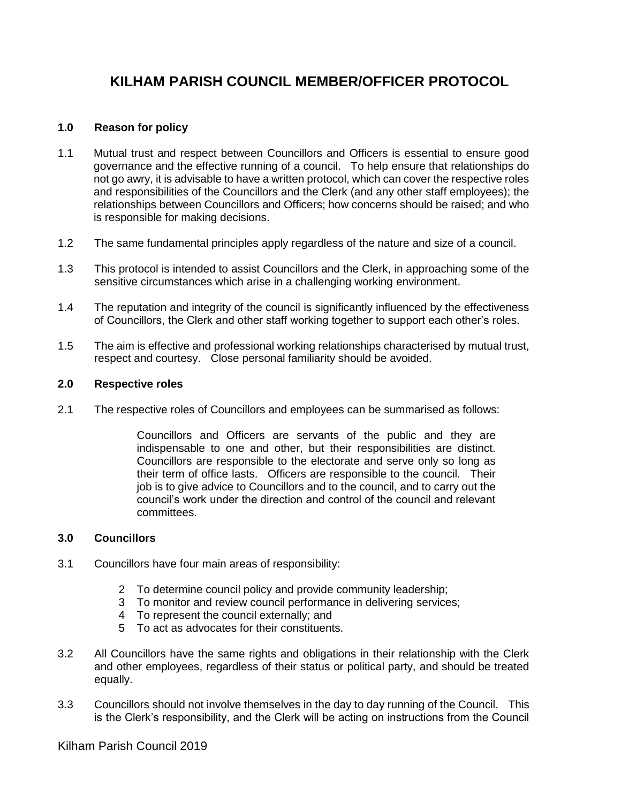# **KILHAM PARISH COUNCIL MEMBER/OFFICER PROTOCOL**

## **1.0 Reason for policy**

- 1.1 Mutual trust and respect between Councillors and Officers is essential to ensure good governance and the effective running of a council. To help ensure that relationships do not go awry, it is advisable to have a written protocol, which can cover the respective roles and responsibilities of the Councillors and the Clerk (and any other staff employees); the relationships between Councillors and Officers; how concerns should be raised; and who is responsible for making decisions.
- 1.2 The same fundamental principles apply regardless of the nature and size of a council.
- 1.3 This protocol is intended to assist Councillors and the Clerk, in approaching some of the sensitive circumstances which arise in a challenging working environment.
- 1.4 The reputation and integrity of the council is significantly influenced by the effectiveness of Councillors, the Clerk and other staff working together to support each other's roles.
- 1.5 The aim is effective and professional working relationships characterised by mutual trust, respect and courtesy. Close personal familiarity should be avoided.

## **2.0 Respective roles**

2.1 The respective roles of Councillors and employees can be summarised as follows:

Councillors and Officers are servants of the public and they are indispensable to one and other, but their responsibilities are distinct. Councillors are responsible to the electorate and serve only so long as their term of office lasts. Officers are responsible to the council. Their job is to give advice to Councillors and to the council, and to carry out the council's work under the direction and control of the council and relevant committees.

## **3.0 Councillors**

- 3.1 Councillors have four main areas of responsibility:
	- 2 To determine council policy and provide community leadership;
	- 3 To monitor and review council performance in delivering services;
	- 4 To represent the council externally; and
	- 5 To act as advocates for their constituents.
- 3.2 All Councillors have the same rights and obligations in their relationship with the Clerk and other employees, regardless of their status or political party, and should be treated equally.
- 3.3 Councillors should not involve themselves in the day to day running of the Council. This is the Clerk's responsibility, and the Clerk will be acting on instructions from the Council

Kilham Parish Council 2019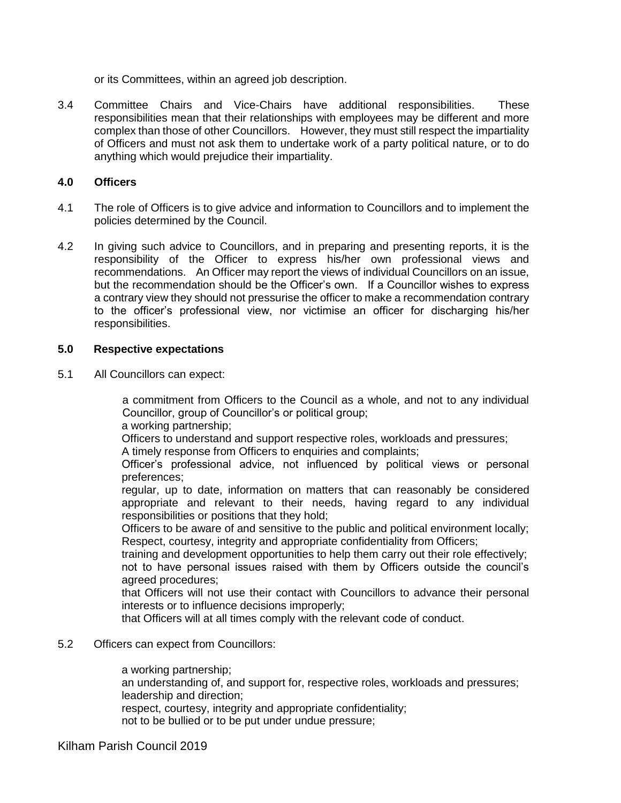or its Committees, within an agreed job description.

3.4 Committee Chairs and Vice-Chairs have additional responsibilities. These responsibilities mean that their relationships with employees may be different and more complex than those of other Councillors. However, they must still respect the impartiality of Officers and must not ask them to undertake work of a party political nature, or to do anything which would prejudice their impartiality.

### **4.0 Officers**

- 4.1 The role of Officers is to give advice and information to Councillors and to implement the policies determined by the Council.
- 4.2 In giving such advice to Councillors, and in preparing and presenting reports, it is the responsibility of the Officer to express his/her own professional views and recommendations. An Officer may report the views of individual Councillors on an issue, but the recommendation should be the Officer's own. If a Councillor wishes to express a contrary view they should not pressurise the officer to make a recommendation contrary to the officer's professional view, nor victimise an officer for discharging his/her responsibilities.

### **5.0 Respective expectations**

5.1 All Councillors can expect:

a commitment from Officers to the Council as a whole, and not to any individual Councillor, group of Councillor's or political group;

a working partnership;

Officers to understand and support respective roles, workloads and pressures;

A timely response from Officers to enquiries and complaints;

Officer's professional advice, not influenced by political views or personal preferences;

regular, up to date, information on matters that can reasonably be considered appropriate and relevant to their needs, having regard to any individual responsibilities or positions that they hold;

Officers to be aware of and sensitive to the public and political environment locally; Respect, courtesy, integrity and appropriate confidentiality from Officers;

training and development opportunities to help them carry out their role effectively; not to have personal issues raised with them by Officers outside the council's agreed procedures;

that Officers will not use their contact with Councillors to advance their personal interests or to influence decisions improperly;

that Officers will at all times comply with the relevant code of conduct.

## 5.2 Officers can expect from Councillors:

a working partnership; an understanding of, and support for, respective roles, workloads and pressures; leadership and direction; respect, courtesy, integrity and appropriate confidentiality; not to be bullied or to be put under undue pressure;

Kilham Parish Council 2019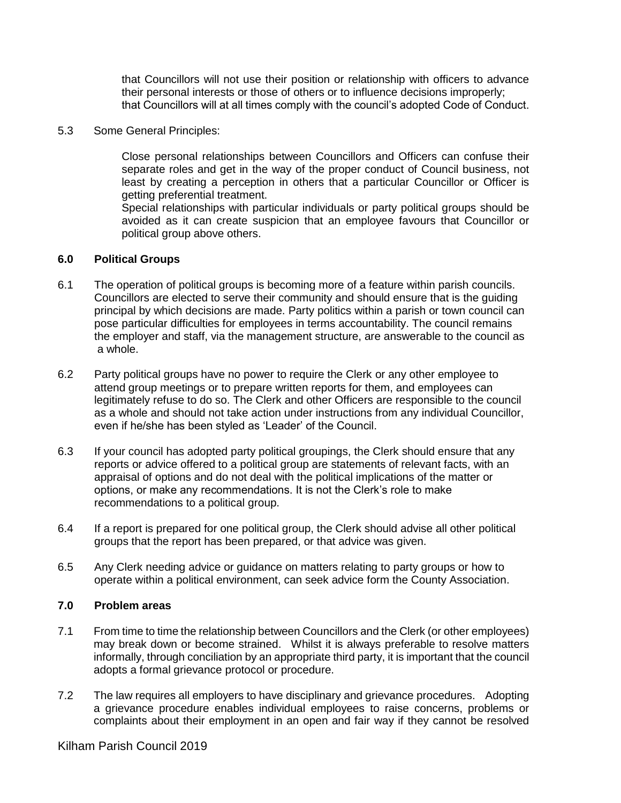that Councillors will not use their position or relationship with officers to advance their personal interests or those of others or to influence decisions improperly; that Councillors will at all times comply with the council's adopted Code of Conduct.

#### 5.3 Some General Principles:

Close personal relationships between Councillors and Officers can confuse their separate roles and get in the way of the proper conduct of Council business, not least by creating a perception in others that a particular Councillor or Officer is getting preferential treatment.

Special relationships with particular individuals or party political groups should be avoided as it can create suspicion that an employee favours that Councillor or political group above others.

### **6.0 Political Groups**

- 6.1 The operation of political groups is becoming more of a feature within parish councils. Councillors are elected to serve their community and should ensure that is the guiding principal by which decisions are made. Party politics within a parish or town council can pose particular difficulties for employees in terms accountability. The council remains the employer and staff, via the management structure, are answerable to the council as a whole.
- 6.2 Party political groups have no power to require the Clerk or any other employee to attend group meetings or to prepare written reports for them, and employees can legitimately refuse to do so. The Clerk and other Officers are responsible to the council as a whole and should not take action under instructions from any individual Councillor, even if he/she has been styled as 'Leader' of the Council.
- 6.3 If your council has adopted party political groupings, the Clerk should ensure that any reports or advice offered to a political group are statements of relevant facts, with an appraisal of options and do not deal with the political implications of the matter or options, or make any recommendations. It is not the Clerk's role to make recommendations to a political group.
- 6.4 If a report is prepared for one political group, the Clerk should advise all other political groups that the report has been prepared, or that advice was given.
- 6.5 Any Clerk needing advice or guidance on matters relating to party groups or how to operate within a political environment, can seek advice form the County Association.

## **7.0 Problem areas**

- 7.1 From time to time the relationship between Councillors and the Clerk (or other employees) may break down or become strained. Whilst it is always preferable to resolve matters informally, through conciliation by an appropriate third party, it is important that the council adopts a formal grievance protocol or procedure.
- 7.2 The law requires all employers to have disciplinary and grievance procedures. Adopting a grievance procedure enables individual employees to raise concerns, problems or complaints about their employment in an open and fair way if they cannot be resolved

Kilham Parish Council 2019